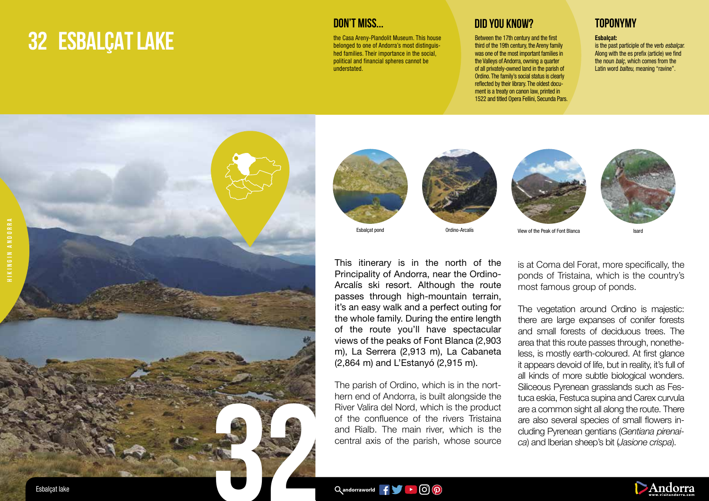## **32 ESBALÇAT LAKE**



the Casa Areny-Plandolit Museum. This house belonged to one of Andorra's most distinguished families. Their importance in the social, political and financial spheres cannot be understated.

Between the 17th century and the first third of the 19th century, the Areny family was one of the most important families in the Valleys of Andorra, owning a quarter of all privately-owned land in the parish of Ordino. The family's social status is clearly reflected by their library. The oldest document is a treaty on canon law, printed in 1522 and titled Opera Fellini, Secunda Pars.

## Esbalçat:

is the past participle of the verb *esbalçar.*  Along with the es prefix (article) we find the noun *balç,* which comes from the Latin word *balteu,* meaning "ravine".







This itinerary is in the north of the Principality of Andorra, near the Ordino-Arcalís ski resort. Although the route passes through high-mountain terrain, it's an easy walk and a perfect outing for the whole family. During the entire length of the route you'll have spectacular views of the peaks of Font Blanca (2,903 m), La Serrera (2,913 m), La Cabaneta (2,864 m) and L'Estanyó (2,915 m).

The parish of Ordino, which is in the northern end of Andorra, is built alongside the River Valira del Nord, which is the product of the confluence of the rivers Tristaina and Rialb. The main river, which is the central axis of the parish, whose source





View of the Peak of Font Blanca Isard

is at Coma del Forat, more specifically, the ponds of Tristaina, which is the country's most famous group of ponds.

The vegetation around Ordino is majestic: there are large expanses of conifer forests and small forests of deciduous trees. The area that this route passes through, nonetheless, is mostly earth-coloured. At first glance it appears devoid of life, but in reality, it's full of all kinds of more subtle biological wonders. Siliceous Pyrenean grasslands such as Festuca eskia, Festuca supina and Carex curvula are a common sight all along the route. There are also several species of small flowers including Pyrenean gentians (*Gentiana pirenaica*) and Iberian sheep's bit (*Jasione crispa*).

 $\alpha$ andorraworld  $\mathbf{f} = \alpha$   $\alpha$